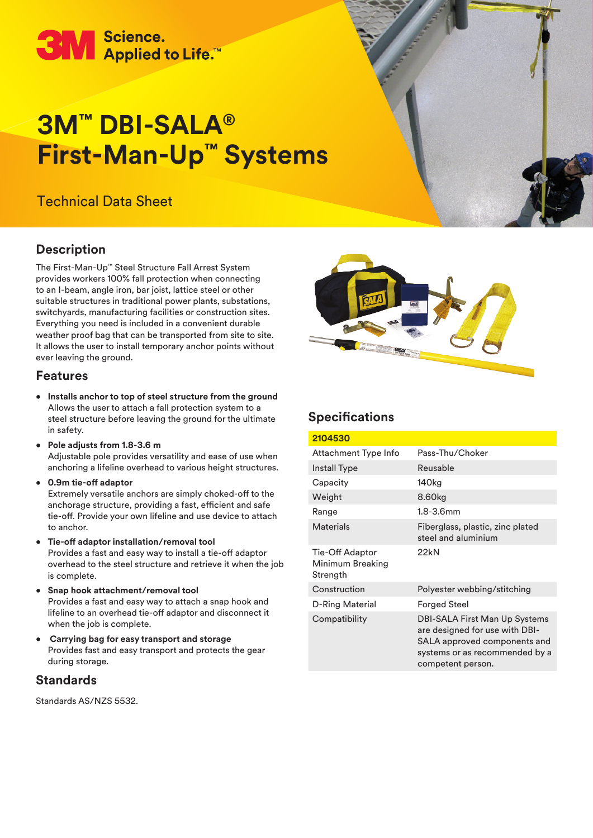

# **3M™ DBI-SALA® First-Man-Up™ Systems**

## Technical Data Sheet

## **Description**

The First-Man-Up™ Steel Structure Fall Arrest System provides workers 100% fall protection when connecting to an I-beam, angle iron, bar joist, lattice steel or other suitable structures in traditional power plants, substations, switchyards, manufacturing facilities or construction sites. Everything you need is included in a convenient durable weather proof bag that can be transported from site to site. It allows the user to install temporary anchor points without ever leaving the ground.

#### **Features**

- **Installs anchor to top of steel structure from the ground**  Allows the user to attach a fall protection system to a steel structure before leaving the ground for the ultimate in safety.
- **Pole adjusts from 1.8-3.6 m**  Adjustable pole provides versatility and ease of use when anchoring a lifeline overhead to various height structures.
- **0.9m tie-off adaptor**

Extremely versatile anchors are simply choked-off to the anchorage structure, providing a fast, efficient and safe tie-off. Provide your own lifeline and use device to attach to anchor.

• **Tie-off adaptor installation/removal tool** 

Provides a fast and easy way to install a tie-off adaptor overhead to the steel structure and retrieve it when the job is complete.

- **Snap hook attachment/removal tool**  Provides a fast and easy way to attach a snap hook and lifeline to an overhead tie-off adaptor and disconnect it when the job is complete.
- • **Carrying bag for easy transport and storage**  Provides fast and easy transport and protects the gear during storage.

#### **Standards**

Standards AS/NZS 5532.



## **Specifications**

| 2104530                                         |                                                                                                                                                        |  |
|-------------------------------------------------|--------------------------------------------------------------------------------------------------------------------------------------------------------|--|
| Attachment Type Info                            | Pass-Thu/Choker                                                                                                                                        |  |
| Install Type                                    | Reusable                                                                                                                                               |  |
| Capacity                                        | 140 <sub>kg</sub>                                                                                                                                      |  |
| Weight                                          | 8.60kg                                                                                                                                                 |  |
| Range                                           | $1.8 - 3.6$ mm                                                                                                                                         |  |
| <b>Materials</b>                                | Fiberglass, plastic, zinc plated<br>steel and aluminium                                                                                                |  |
| Tie-Off Adaptor<br>Minimum Breaking<br>Strength | 22kN                                                                                                                                                   |  |
| Construction                                    | Polyester webbing/stitching                                                                                                                            |  |
| D-Ring Material                                 | Forged Steel                                                                                                                                           |  |
| Compatibility                                   | DBI-SALA First Man Up Systems<br>are designed for use with DBI-<br>SALA approved components and<br>systems or as recommended by a<br>competent person. |  |